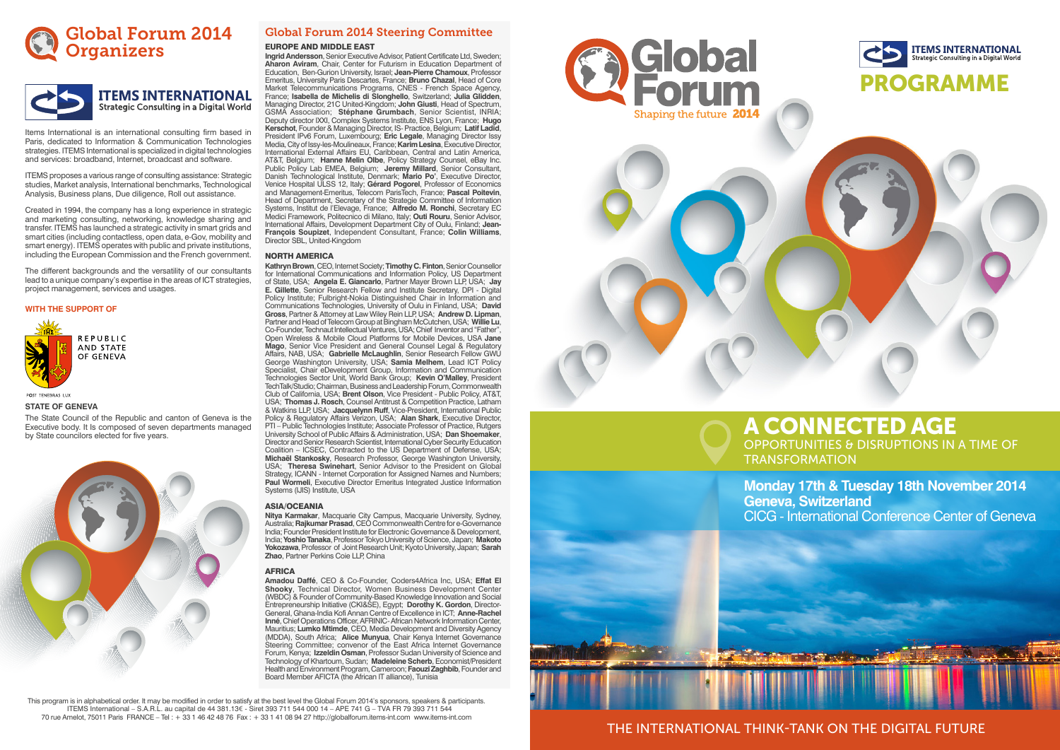Items International is an international consulting firm based in Paris, dedicated to Information & Communication Technologies strategies. ITEMS International is specialized in digital technologies and services: broadband, Internet, broadcast and software.

ITEMS proposes a various range of consulting assistance: Strategic studies, Market analysis, International benchmarks, Technological Analysis, Business plans, Due diligence, Roll out assistance.

Created in 1994, the company has a long experience in strategic and marketing consulting, networking, knowledge sharing and transfer. ITEMS has launched a strategic activity in smart grids and smart cities (including contactless, open data, e-Gov, mobility and smart energy). ITEMS operates with public and private institutions. including the European Commission and the French government.

The different backgrounds and the versatility of our consultants lead to a unique company's expertise in the areas of ICT strategies, project management, services and usages.

## **WITH THE SUPPORT OF**



**REPUBLIC** AND STATE OF GENEVA

OST TENEBRAS LUX

## **STATE OF GENEVA**

The State Council of the Republic and canton of Geneva is the Executive body. It Is composed of seven departments managed by State councilors elected for five years.



This program is in alphabetical order. It may be modified in order to satisfy at the best level the Global Forum 2014's sponsors, speakers & participants. ITEMS International – S.A.R.L. au capital de 44 381.13€ - Siret 393 711 544 000 14 – APE 741 G – TVA FR 79 393 711 544 70 rue Amelot, 75011 Paris FRANCE – Tel : + 33 1 46 42 48 76 Fax : + 33 1 41 08 94 27 http://globalforum.items-int.com www.items-int.com







## Global Forum 2014 Steering Committee

## EUROPE AND MIDDLE EAST

**Ingrid Andersson**, Senior Executive Advisor, Patient Certificate Ltd, Sweden; **Aharon Aviram**, Chair, Center for Futurism in Education Department of Education, Ben-Gurion University, Israel; **Jean-Pierre Chamoux**, Professor Emeritus, University Paris Descartes, France; **Bruno Chazal**, Head of Core Market Telecommunications Programs, CNES - French Space Agency, France; **Isabella de Michelis di Slonghello**, Switzerland; **Julia Glidden**, Managing Director, 21C United-Kingdom; **John Giusti**, Head of Spectrum, GSMA Association; **Stéphane Grumbach**, Senior Scientist, INRIA; Deputy director IXXI, Complex Systems Institute, ENS Lyon, France; **Hugo Kerschot**, Founder & Managing Director, IS- Practice, Belgium; **Latif Ladid**, President IPv6 Forum, Luxembourg; **Eric Legale**, Managing Director Issy Media, City of Issy-les-Moulineaux, France; **KarimLesina**, Executive Director, International External Affairs EU, Caribbean, Central and Latin America, AT&T, Belgium; **Hanne Melin Olbe**, Policy Strategy Counsel, eBay Inc. Public Policy Lab EMEA, Belgium; **Jeremy Millard**, Senior Consultant, Danish Technological Institute, Denmark; **Mario Po'**, Executive Director, Venice Hospital ULSS 12, Italy; **Gérard Pogorel**, Professor of Economics and Management-Emeritus, Telecom ParisTech, France; **Pascal Poitevin**, Head of Department, Secretary of the Strategie Committee of Information Systems, Institut de l'Elevage, France; **Alfredo M. Ronchi**, Secretary EC Medici Framework, Politecnico di Milano, Italy; **Outi Rouru**, Senior Advisor, International Affairs, Development Department City of Oulu, Finland; **Jean-François Soupizet**, Independent Consultant, France; **Colin Williams**, Director SBL, United-Kingdom

## NORTH AMERICA

# A CONNECTED AGE OPPORTUNITIES & DISRUPTIONS IN A TIME OF **TRANSFORMATION**

**Kathryn Brown**, CEO, Internet Society; **Timothy C. Finton**, Senior Counsellor for International Communications and Information Policy, US Department of State, USA; **Angela E. Giancarlo**, Partner Mayer Brown LLP, USA; **Jay E. Gillette**, Senior Research Fellow and Institute Secretary, DPI - Digital Policy Institute; Fulbright-Nokia Distinguished Chair in Information and Communications Technologies, University of Oulu in Finland, USA; **David Gross**, Partner & Attorney at Law Wiley Rein LLP, USA; **Andrew D. Lipman**, Partner and Head of Telecom Group at Bingham McCutchen, USA; **Willie Lu**, Co-Founder, Technaut Intellectual Ventures, USA; Chief Inventor and"Father", Open Wireless & Mobile Cloud Platforms for Mobile Devices, USA **Jane Mago**, Senior Vice President and General Counsel Legal & Regulatory Affairs, NAB, USA; **Gabrielle McLaughlin**, Senior Research Fellow GWU George Washington University, USA; **Samia Melhem**, Lead ICT Policy Specialist, Chair eDevelopment Group, Information and Communication Technologies Sector Unit, World Bank Group; **Kevin O'Malley**, President TechTalk/Studio; Chairman, Business and Leadership Forum, Commonwealth Club of California, USA; **Brent Olson**, Vice President - Public Policy, AT&T, USA; **Thomas J. Rosch**, Counsel Antitrust & Competition Practice, Latham & Watkins LLP, USA; **Jacquelynn Ruff**, Vice-President, International Public Policy & Regulatory Affairs Verizon, USA; **Alan Shark**, Executive Director, PTI – Public Technologies Institute; Associate Professor of Practice, Rutgers University School of Public Affairs & Administration, USA; **Dan Shoemaker**, Director and Senior Research Scientist, International Cyber Security Education Coalition – ICSEC, Contracted to the US Department of Defense, USA; **Michaël Stankosky**, Research Professor, George Washington University, USA; **Theresa Swinehart**, Senior Advisor to the President on Global Strategy, ICANN - Internet Corporation for Assigned Names and Numbers; **Paul Wormeli**, Executive Director Emeritus Integrated Justice Information Systems (IJIS) Institute, USA

## ASIA/OCEANIA

**Nitya Karmakar**, Macquarie City Campus, Macquarie University, Sydney, Australia; Rajkumar Prasad, CEO Commonwealth Centre for e-Governance India; Founder President Institute for Electronic Governance & Development, India; **YoshioTanaka**, Professor Tokyo University of Science, Japan; **Makoto Yokozawa**, Professor of Joint Research Unit; Kyoto University, Japan; **Sarah Zhao**, Partner Perkins Coie LLP, China

## **AFRICA**

**Amadou Daffé**, CEO & Co-Founder, Coders4Africa Inc, USA; **Effat El Shooky**, Technical Director, Women Business Development Center (WBDC) & Founder of Community-Based Knowledge Innovation and Social Entrepreneurship Initiative (CKI&SE), Egypt; **Dorothy K. Gordon**, Director-General, Ghana-India Kofi Annan Centre of Excellence in ICT; **Anne-Rachel Inné**, Chief Operations Officer, AFRINIC- African Network Information Center, Mauritius; **Lumko Mtimde**, CEO, Media Development and Diversity Agency (MDDA), South Africa; **Alice Munyua**, Chair Kenya Internet Governance Steering Committee; convenor of the East Africa Internet Governance Forum, Kenya; **IzzeldinOsman**, Professor Sudan University of Science and Technology of Khartoum, Sudan; **Madeleine Scherb**, Economist/President Health and Environment Program, Cameroon; **FaouziZaghbib**, Founder and Board Member AFICTA (the African IT alliance), Tunisia

# THE INTERNATIONAL THINK-TANK ON THE DIGITAL FUTURE

**Monday 17th & Tuesday 18th November 2014 Geneva, Switzerland** CICG - International Conference Center of Geneva